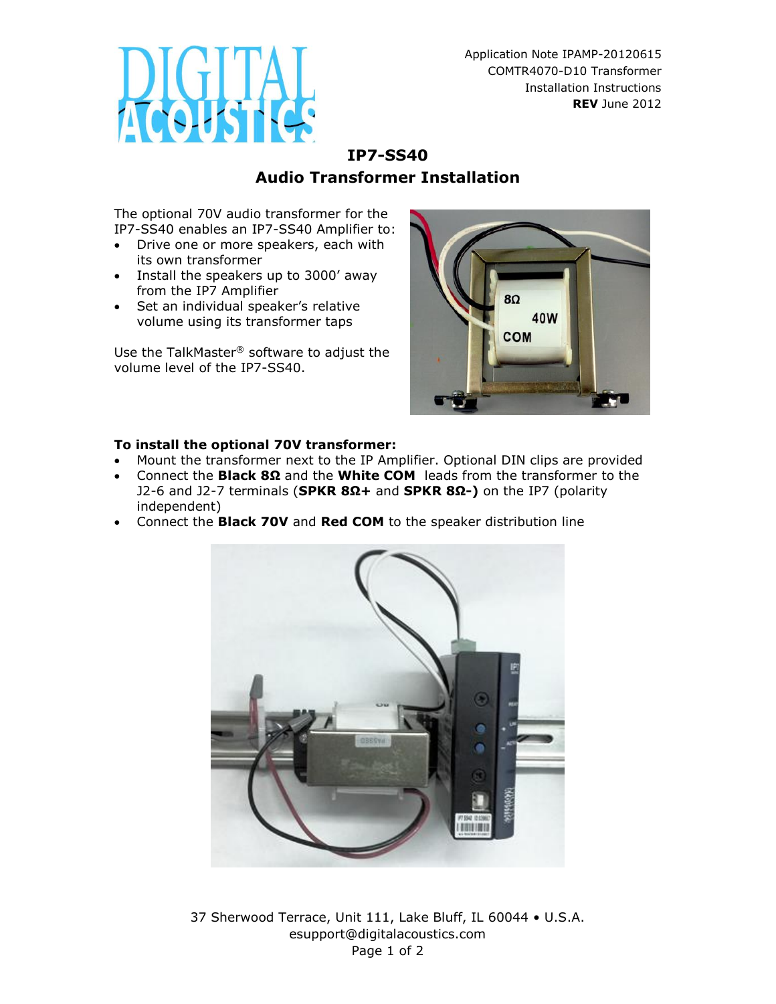

Application Note IPAMP-20120615 COMTR4070-D10 Transformer Installation Instructions **REV** June 2012

## **IP7-SS40 Audio Transformer Installation**

The optional 70V audio transformer for the IP7-SS40 enables an IP7-SS40 Amplifier to:

- Drive one or more speakers, each with its own transformer
- Install the speakers up to 3000' away from the IP7 Amplifier
- Set an individual speaker's relative volume using its transformer taps

Use the TalkMaster® software to adjust the volume level of the IP7-SS40.



## **To install the optional 70V transformer:**

- Mount the transformer next to the IP Amplifier. Optional DIN clips are provided
- Connect the **Black 8Ω** and the **White COM** leads from the transformer to the J2-6 and J2-7 terminals (**SPKR 8Ω+** and **SPKR 8Ω-)** on the IP7 (polarity independent)
- Connect the **Black 70V** and **Red COM** to the speaker distribution line



37 Sherwood Terrace, Unit 111, Lake Bluff, IL 60044 • U.S.A. esupport@digitalacoustics.com Page 1 of 2